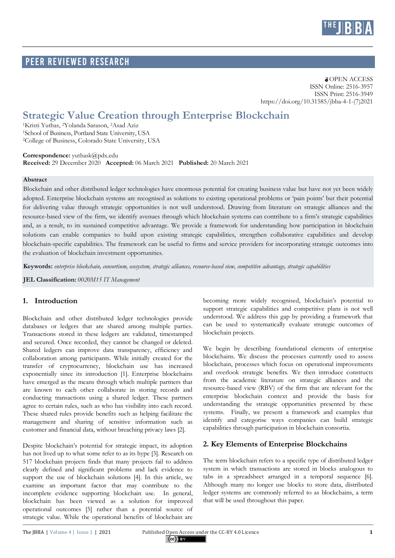

# PEER REVIEWED RESEARCH

**a** OPEN ACCESS ISSN Online: 2516-3957 ISSN Print: 2516-3949 https://doi.org/10.31585/jbba-4-1-(7)2021

# **Strategic Value Creation through Enterprise Blockchain**

1Kristi Yuthas, 2Yolanda Sarason, 2Asad Aziz 1School of Business, Portland State University, USA 2College of Business, Colorado State University, USA

**Correspondence:** yuthask@pdx.edu **Received:** 29 December 2020 **Accepted:** 06 March 2021 **Published:** 20 March 2021

#### **Abstract**

Blockchain and other distributed ledger technologies have enormous potential for creating business value but have not yet been widely adopted. Enterprise blockchain systems are recognised as solutions to existing operational problems or 'pain points' but their potential for delivering value through strategic opportunities is not well understood. Drawing from literature on strategic alliances and the resource-based view of the firm, we identify avenues through which blockchain systems can contribute to a firm's strategic capabilities and, as a result, to its sustained competitive advantage. We provide a framework for understanding how participation in blockchain solutions can enable companies to build upon existing strategic capabilities, strengthen collaborative capabilities and develop blockchain-specific capabilities. The framework can be useful to firms and service providers for incorporating strategic outcomes into the evaluation of blockchain investment opportunities.

**Keywords:** *enterprise blockchain, consortium, ecosystem, strategic alliances, resource-based view, competitive advantage, strategic capabilities*

**JEL Classification:** *0020M15 IT Management*

#### **1. Introduction**

Blockchain and other distributed ledger technologies provide databases or ledgers that are shared among multiple parties. Transactions stored in these ledgers are validated, timestamped and secured. Once recorded, they cannot be changed or deleted. Shared ledgers can improve data transparency, efficiency and collaboration among participants. While initially created for the transfer of cryptocurrency, blockchain use has increased exponentially since its introduction [1]. Enterprise blockchains have emerged as the means through which multiple partners that are known to each other collaborate in storing records and conducting transactions using a shared ledger. These partners agree to certain rules, such as who has visibility into each record. These shared rules provide benefits such as helping facilitate the management and sharing of sensitive information such as customer and financial data, without breaching privacy laws [2].

Despite blockchain's potential for strategic impact, its adoption has not lived up to what some refer to as its hype [3]. Research on 517 blockchain projects finds that many projects fail to address clearly defined and significant problems and lack evidence to support the use of blockchain solutions [4]. In this article, we examine an important factor that may contribute to the incomplete evidence supporting blockchain use. In general, blockchain has been viewed as a solution for improved operational outcomes [5] rather than a potential source of strategic value. While the operational benefits of blockchain are

becoming more widely recognised, blockchain's potential to support strategic capabilities and competitive plans is not well understood. We address this gap by providing a framework that can be used to systematically evaluate strategic outcomes of blockchain projects.

We begin by describing foundational elements of enterprise blockchains. We discuss the processes currently used to assess blockchain, processes which focus on operational improvements and overlook strategic benefits. We then introduce constructs from the academic literature on strategic alliances and the resource-based view (RBV) of the firm that are relevant for the enterprise blockchain context and provide the basis for understanding the strategic opportunities presented by these systems. Finally, we present a framework and examples that identify and categorise ways companies can build strategic capabilities through participation in blockchain consortia.

### **2. Key Elements of Enterprise Blockchains**

The term blockchain refers to a specific type of distributed ledger system in which transactions are stored in blocks analogous to tabs in a spreadsheet arranged in a temporal sequence [6]. Although many no longer use blocks to store data, distributed ledger systems are commonly referred to as blockchains, a term that will be used throughout this paper.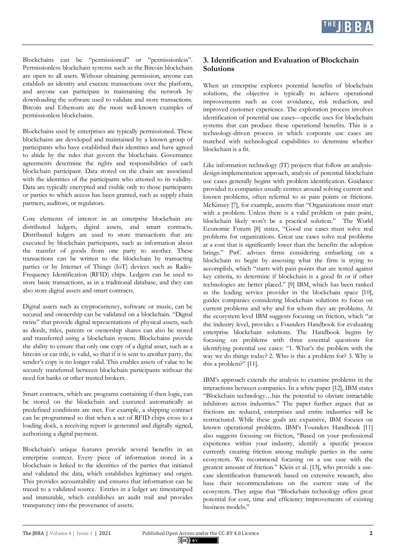

Blockchains can be "permissioned" or "permissionless". Permissionless blockchain systems such as the Bitcoin blockchain are open to all users. Without obtaining permission, anyone can establish an identity and execute transactions over the platform, and anyone can participate in maintaining the network by downloading the software used to validate and store transactions. Bitcoin and Ethereum are the most well-known examples of permissionless blockchains.

Blockchains used by enterprises are typically permissioned. These blockchains are developed and maintained by a known group of participants who have established their identities and have agreed to abide by the rules that govern the blockchain. Governance agreements determine the rights and responsibilities of each blockchain participant. Data stored on the chain are associated with the identities of the participants who attested to its validity. Data are typically encrypted and visible only to those participants or parties to which access has been granted, such as supply chain partners, auditors, or regulators.

Core elements of interest in an enterprise blockchain are distributed ledgers, digital assets, and smart contracts. Distributed ledgers are used to store transactions that are executed by blockchain participants, such as information about the transfer of goods from one party to another. These transactions can be written to the blockchain by transacting parties or by Internet of Things (IoT) devices such as Radio-Frequency Identification (RFID) chips. Ledgers can be used to store basic transactions, as in a traditional database, and they can also store digital assets and smart contracts.

Digital assets such as cryptocurrency, software or music, can be secured and ownership can be validated on a blockchain. "Digital twins" that provide digital representations of physical assets, such as deeds, titles, patents or ownership shares can also be stored and transferred using a blockchain system. Blockchains provide the ability to ensure that only one copy of a digital asset, such as a bitcoin or car title, is valid, so that if it is sent to another party, the sender's copy is no longer valid. This enables assets of value to be securely transferred between blockchain participants without the need for banks or other trusted brokers.

Smart contracts, which are programs containing if-then logic, can be stored on the blockchain and executed automatically as predefined conditions are met. For example, a shipping contract can be programmed so that when a set of RFID chips cross to a loading dock, a receiving report is generated and digitally signed, authorising a digital payment.

Blockchain's unique features provide several benefits in an enterprise context. Every piece of information stored in a blockchain is linked to the identities of the parties that initiated and validated the data, which establishes legitimacy and origin. This provides accountability and ensures that information can be traced to a validated source. Entries in a ledger are timestamped and immutable, which establishes an audit trail and provides transparency into the provenance of assets.

## **3. Identification and Evaluation of Blockchain Solutions**

When an enterprise explores potential benefits of blockchain solutions, the objective is typically to achieve operational improvements such as cost avoidance, risk reduction, and improved customer experience. The exploration process involves identification of potential use cases—specific uses for blockchain systems that can produce these operational benefits. This is a technology-driven process in which corporate use cases are matched with technological capabilities to determine whether blockchain is a fit.

Like information technology (IT) projects that follow an analysisdesign-implementation approach, analysis of potential blockchain use cases generally begins with problem identification. Guidance provided to companies usually centres around solving current and known problems, often referred to as pain points or frictions. McKinsey [7], for example, asserts that "Organizations must start with a problem. Unless there is a valid problem or pain point, blockchain likely won't be a practical solution." The World Economic Forum [8] states, "Good use cases must solve real problems for organizations. Great use cases solve real problems at a cost that is significantly lower than the benefits the adoption brings." PwC advises firms considering embarking on a blockchain to begin by assessing what the firm is trying to accomplish, which "starts with pain points that are tested against key criteria, to determine if blockchain is a good fit or if other technologies are better placed." [9] IBM, which has been ranked as the leading service provider in the blockchain space [10], guides companies considering blockchain solutions to focus on current problems and why and for whom they are problems. At the ecosystem level IBM suggests focusing on friction, which "at the industry level, provides a Founders Handbook for evaluating enterprise blockchain solutions. The Handbook begins by focusing on problems with three essential questions for identifying potential use cases: "1. What's the problem with the way we do things today? 2. Who is this a problem for? 3. Why is this a problem?" [11].

IBM's approach extends the analysis to examine problems in the interactions between companies. In a white paper [12], IBM states "Blockchain technology…has the potential to obviate intractable inhibitors across industries." The paper further argues that as frictions are reduced, enterprises and entire industries will be restructured. While these goals are expansive, IBM focuses on known operational problems. IBM's Founders Handbook [11] also suggests focusing on friction, "Based on your professional experience within your industry, identify a specific process currently creating friction among multiple parties in the same ecosystem. We recommend focusing on a use case with the greatest amount of friction." Klein et al. [13], who provide a usecase identification framework based on extensive research, also base their recommendations on the current state of the ecosystem. They argue that "Blockchain technology offers great potential for cost, time and efficiency improvements of existing business models."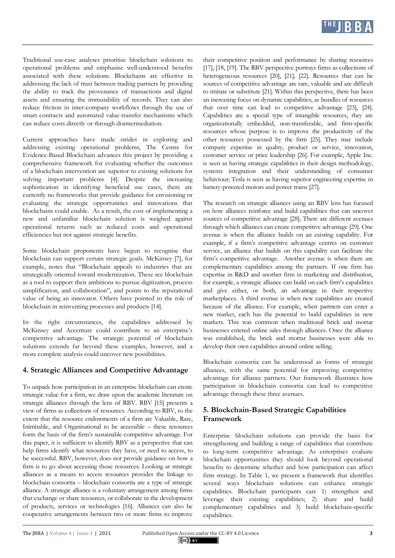

Traditional use-case analyses prioritise blockchain solutions to operational problems and emphasise well-understood benefits associated with these solutions. Blockchains are effective in addressing the lack of trust between trading partners by providing the ability to track the provenance of transactions and digital assets and ensuring the immutability of records. They can also reduce friction in inter-company workflows through the use of smart contracts and automated value-transfer mechanisms which can reduce costs directly or through disintermediation.

Current approaches have made strides in exploring and addressing existing operational problems, The Centre for Evidence-Based Blockchain advances this project by providing a comprehensive framework for evaluating whether the outcomes of a blockchain intervention are superior to existing solutions for solving important problems [4]. Despite the increasing sophistication in identifying beneficial use cases, there are currently no frameworks that provide guidance for envisioning or evaluating the strategic opportunities and innovations that blockchains could enable. As a result, the cost of implementing a new and unfamiliar blockchain solution is weighed against operational returns such as reduced costs and operational efficiencies but not against strategic benefits.

Some blockchain proponents have begun to recognise that blockchain can support certain strategic goals. McKinsey [7], for example, notes that "Blockchain appeals to industries that are strategically oriented toward modernization. These see blockchain as a tool to support their ambitions to pursue digitization, process simplification, and collaboration", and points to the reputational value of being an innovator. Others have pointed to the role of blockchain in reinventing processes and products [14].

In the right circumstances, the capabilities addressed by McKinsey and Accenture could contribute to an enterprise's competitive advantage. The strategic potential of blockchain solutions extends far beyond these examples, however, and a more complete analysis could uncover new possibilities.

#### **4. Strategic Alliances and Competitive Advantage**

To unpack how participation in an enterprise blockchain can create strategic value for a firm, we draw upon the academic literature on strategic alliances through the lens of RBV. RBV [15] presents a view of firms as collections of resources. According to RBV, to the extent that the resource endowments of a firm are Valuable, Rare, Inimitable, and Organisational to be accessible – these resources form the basis of the firm's sustainable competitive advantage. For this paper, it is sufficient to identify RBV as a perspective that can help firms identify what resources they have, or need to access, to be successful. RBV, however, does not provide guidance on how a firm is to go about accessing those resources. Looking at strategic alliances as a means to access resources provides the linkage to blockchain consortia – blockchain consortia are a type of strategic alliance. A strategic alliance is a voluntary arrangement among firms that exchange or share resources, or collaborate in the development of products, services or technologies [16]. Alliances can also be cooperative arrangements between two or more firms to improve

their competitive position and performance by sharing resources [17], [18, [19]. The RBV perspective portrays firms as collections of heterogeneous resources [20], [21], [22]. Resources that can be sources of competitive advantage are rare, valuable and are difficult to imitate or substitute [21]. Within this perspective, there has been an increasing focus on dynamic capabilities, as bundles of resources that over time can lead to competitive advantage [23], [24]. Capabilities are a special type of intangible resources, they are organizationally embedded, non-transferable, and firm-specific resources whose purpose is to improve the productivity of the other resources possessed by the firm [25]. They may include company expertise in quality, product or service, innovation, customer service or price leadership [26]. For example, Apple Inc. is seen as having strategic capabilities in their design methodology, systems integration and their understanding of consumer behaviour; Tesla is seen as having superior engineering expertise in battery-powered motors and power trains [27].

The research on strategic alliances using an RBV lens has focused on how alliances reinforce and build capabilities that can uncover sources of competitive advantage [28]. There are different avenues through which alliances can create competitive advantage [29]. One avenue is when the alliance builds on an existing capability. For example, if a firm's competitive advantage centres on customer service, an alliance that builds on this capability can facilitate the firm's competitive advantage. Another avenue is when there are complementary capabilities among the partners. If one firm has expertise in R&D and another firm in marketing and distribution, for example, a strategic alliance can build on each firm's capabilities and give either, or both, an advantage in their respective marketplaces. A third avenue is when new capabilities are created because of the alliance. For example, when partners can enter a new market, each has the potential to build capabilities in new markets. This was common when traditional brick and mortar businesses entered online sales through alliances. Once the alliance was established, the brick and mortar businesses were able to develop their own capabilities around online selling.

Blockchain consortia can be understood as forms of strategic alliances, with the same potential for improving competitive advantage for alliance partners. Our framework illustrates how participation in blockchain consortia can lead to competitive advantage through these three avenues.

### **5. Blockchain-Based Strategic Capabilities Framework**

Enterprise blockchain solutions can provide the basis for strengthening and building a range of capabilities that contribute to long-term competitive advantage. As enterprises evaluate blockchain opportunities they should look beyond operational benefits to determine whether and how participation can affect firm strategy. In Table 1, we present a framework that identifies several ways blockchain solutions can enhance strategic capabilities. Blockchain participants can: 1) strengthen and leverage their existing capabilities; 2) share and build complementary capabilities and 3) build blockchain-specific capabilities.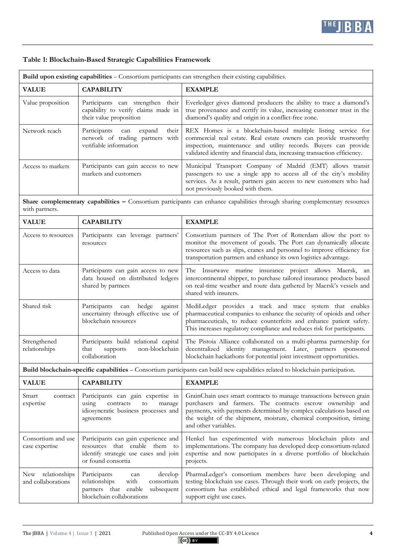

# **Table 1: Blockchain-Based Strategic Capabilities Framework**

| Build upon existing capabilities - Consortium participants can strengthen their existing capabilities.                                        |                                                                                                                                          |                                                                                                                                                                                                                                                                                                         |  |  |
|-----------------------------------------------------------------------------------------------------------------------------------------------|------------------------------------------------------------------------------------------------------------------------------------------|---------------------------------------------------------------------------------------------------------------------------------------------------------------------------------------------------------------------------------------------------------------------------------------------------------|--|--|
| <b>VALUE</b>                                                                                                                                  | <b>CAPABILITY</b>                                                                                                                        | <b>EXAMPLE</b>                                                                                                                                                                                                                                                                                          |  |  |
| Value proposition                                                                                                                             | Participants can strengthen their<br>capability to verify claims made in<br>their value proposition                                      | Everledger gives diamond producers the ability to trace a diamond's<br>true provenance and certify its value, increasing customer trust in the<br>diamond's quality and origin in a conflict-free zone.                                                                                                 |  |  |
| Network reach                                                                                                                                 | Participants<br>expand<br>their<br>can<br>network of trading partners with<br>verifiable information                                     | REX Homes is a blockchain-based multiple listing service for<br>commercial real estate. Real estate owners can provide trustworthy<br>inspection, maintenance and utility records. Buyers can provide<br>validated identity and financial data, increasing transaction efficiency.                      |  |  |
| Access to markets                                                                                                                             | Participants can gain access to new<br>markets and customers                                                                             | Municipal Transport Company of Madrid (EMT) allows transit<br>passengers to use a single app to access all of the city's mobility<br>services. As a result, partners gain access to new customers who had<br>not previously booked with them.                                                           |  |  |
| Share complementary capabilities - Consortium participants can enhance capabilities through sharing complementary resources<br>with partners. |                                                                                                                                          |                                                                                                                                                                                                                                                                                                         |  |  |
| <b>VALUE</b>                                                                                                                                  | <b>CAPABILITY</b>                                                                                                                        | <b>EXAMPLE</b>                                                                                                                                                                                                                                                                                          |  |  |
| Access to resources                                                                                                                           | Participants can leverage partners'<br>resources                                                                                         | Consortium partners of The Port of Rotterdam allow the port to<br>monitor the movement of goods. The Port can dynamically allocate<br>resources such as slips, cranes and personnel to improve efficiency for<br>transportation partners and enhance its own logistics advantage.                       |  |  |
| Access to data                                                                                                                                | Participants can gain access to new<br>data housed on distributed ledgers<br>shared by partners                                          | The Insurwave marine insurance project allows Maersk,<br>an<br>intercontinental shipper, to purchase tailored insurance products based<br>on real-time weather and route data gathered by Maersk's vessels and<br>shared with insurers.                                                                 |  |  |
| Shared risk                                                                                                                                   | Participants<br>hedge<br>against<br>can<br>uncertainty through effective use of<br>blockchain resources                                  | MediLedger provides a track and trace system that enables<br>pharmaceutical companies to enhance the security of opioids and other<br>pharmaceuticals, to reduce counterfeits and enhance patient safety.<br>This increases regulatory compliance and reduces risk for participants.                    |  |  |
| Strengthened<br>relationships                                                                                                                 | Participants build relational capital<br>non-blockchain<br>that<br>supports<br>collaboration                                             | The Pistoia Alliance collaborated on a multi-pharma partnership for<br>decentralized identity management. Later, partners sponsored<br>blockchain hackathons for potential joint investment opportunities.                                                                                              |  |  |
| Build blockchain-specific capabilities - Consortium participants can build new capabilities related to blockchain participation.              |                                                                                                                                          |                                                                                                                                                                                                                                                                                                         |  |  |
| <b>VALUE</b>                                                                                                                                  | <b>CAPABILITY</b>                                                                                                                        | <b>EXAMPLE</b>                                                                                                                                                                                                                                                                                          |  |  |
| Smart<br>contract<br>expertise                                                                                                                | Participants can gain expertise in<br>contracts<br>using<br>to<br>manage<br>idiosyncratic business processes and<br>agreements           | GrainChain uses smart contracts to manage transactions between grain<br>purchasers and farmers. The contracts escrow ownership and<br>payments, with payments determined by complex calculations based on<br>the weight of the shipment, moisture, chemical composition, timing<br>and other variables. |  |  |
| Consortium and use<br>case expertise                                                                                                          | Participants can gain experience and<br>resources that enable them to<br>identify strategic use cases and join<br>or found consortia     | Henkel has experimented with numerous blockchain pilots and<br>implementations. The company has developed deep consortium-related<br>expertise and now participates in a diverse portfolio of blockchain<br>projects.                                                                                   |  |  |
| relationships<br>New<br>and collaborations                                                                                                    | Participants<br>develop<br>can<br>with<br>consortium<br>relationships<br>partners that enable<br>subsequent<br>blockchain collaborations | PharmaLedger's consortium members have been developing and<br>testing blockchain use cases. Through their work on early projects, the<br>consortium has established ethical and legal frameworks that now<br>support eight use cases.                                                                   |  |  |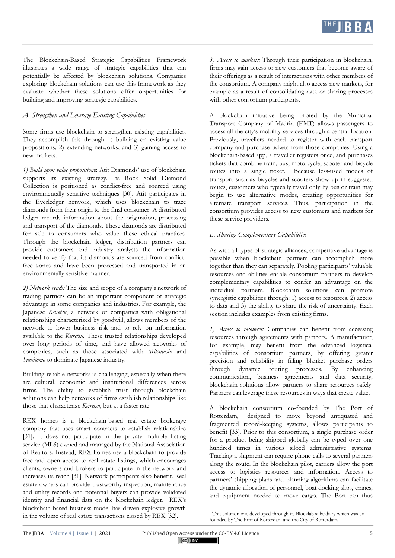The Blockchain-Based Strategic Capabilities Framework illustrates a wide range of strategic capabilities that can potentially be affected by blockchain solutions. Companies exploring blockchain solutions can use this framework as they evaluate whether these solutions offer opportunities for building and improving strategic capabilities.

### *A. Strengthen and Leverage Existing Capabilities*

Some firms use blockchain to strengthen existing capabilities. They accomplish this through 1) building on existing value propositions; 2) extending networks; and 3) gaining access to new markets.

*1) Build upon value proposition*s: Atit Diamonds' use of blockchain supports its existing strategy. Its Rock Solid Diamond Collection is positioned as conflict-free and sourced using environmentally sensitive techniques [30]. Atit participates in the Everledger network, which uses blockchain to trace diamonds from their origin to the final consumer. A distributed ledger records information about the origination, processing and transport of the diamonds. These diamonds are distributed for sale to consumers who value these ethical practices. Through the blockchain ledger, distribution partners can provide customers and industry analysts the information needed to verify that its diamonds are sourced from conflictfree zones and have been processed and transported in an environmentally sensitive manner.

*2) Network reach:* The size and scope of a company's network of trading partners can be an important component of strategic advantage in some companies and industries. For example, the Japanese *Keiretsu*, a network of companies with obligational relationships characterized by goodwill, allows members of the network to lower business risk and to rely on information available to the *Keiretsu.* These trusted relationships developed over long periods of time, and have allowed networks of companies, such as those associated with *Mitsubishi* and *Sumitomo* to dominate Japanese industry.

Building reliable networks is challenging, especially when there are cultural, economic and institutional differences across firms. The ability to establish trust through blockchain solutions can help networks of firms establish relationships like those that characterize *Keiretsu*, but at a faster rate.

REX homes is a blockchain-based real estate brokerage company that uses smart contracts to establish relationships [31]. It does not participate in the private multiple listing service (MLS) owned and managed by the National Association of Realtors. Instead, REX homes use a blockchain to provide free and open access to real estate listings, which encourages clients, owners and brokers to participate in the network and increases its reach [31]. Network participants also benefit. Real estate owners can provide trustworthy inspection, maintenance and utility records and potential buyers can provide validated identity and financial data on the blockchain ledger. REX's blockchain-based business model has driven explosive growth in the volume of real estate transactions closed by REX [32].

*3) Access to markets:* Through their participation in blockchain, firms may gain access to new customers that become aware of their offerings as a result of interactions with other members of the consortium. A company might also access new markets, for example as a result of consolidating data or sharing processes with other consortium participants.

A blockchain initiative being piloted by the Municipal Transport Company of Madrid (EMT) allows passengers to access all the city's mobility services through a central location. Previously, travellers needed to register with each transport company and purchase tickets from those companies. Using a blockchain-based app, a traveller registers once, and purchases tickets that combine train, bus, motorcycle, scooter and bicycle routes into a single ticket. Because less-used modes of transport such as bicycles and scooters show up in suggested routes, customers who typically travel only by bus or train may begin to use alternative modes, creating opportunities for alternate transport services. Thus, participation in the consortium provides access to new customers and markets for these service providers.

### *B. Sharing Complementary Capabilities*

As with all types of strategic alliances, competitive advantage is possible when blockchain partners can accomplish more together than they can separately. Pooling participants' valuable resources and abilities enable consortium partners to develop complementary capabilities to confer an advantage on the individual partners. Blockchain solutions can promote synergistic capabilities through: 1) access to resources, 2) access to data and 3) the ability to share the risk of uncertainty. Each section includes examples from existing firms.

*1) Access to resources:* Companies can benefit from accessing resources through agreements with partners. A manufacturer, for example, may benefit from the advanced logistical capabilities of consortium partners, by offering greater precision and reliability in filling blanket purchase orders through dynamic routing processes. By enhancing communication, business agreements and data security, blockchain solutions allow partners to share resources safely. Partners can leverage these resources in ways that create value.

A blockchain consortium co-founded by The Port of Rotterdam, <sup>1</sup> designed to move beyond antiquated and fragmented record-keeping systems, allows participants to benefit [33]. Prior to this consortium, a single purchase order for a product being shipped globally can be typed over one hundred times in various siloed administrative systems. Tracking a shipment can require phone calls to several partners along the route. In the blockchain pilot, carriers allow the port access to logistics resources and information. Access to partners' shipping plans and planning algorithms can facilitate the dynamic allocation of personnel, boat docking slips, cranes, and equipment needed to move cargo. The Port can thus

 $\overline{a}$ 

<sup>&</sup>lt;sup>1</sup> This solution was developed through its Blocklab subsidiary which was cofounded by The Port of Rotterdam and the City of Rotterdam.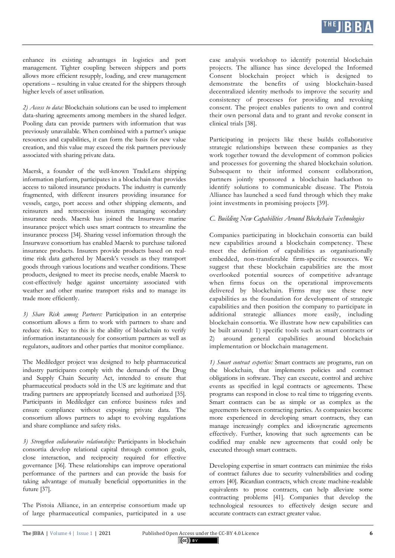

enhance its existing advantages in logistics and port management. Tighter coupling between shippers and ports allows more efficient resupply, loading, and crew management operations – resulting in value created for the shippers through higher levels of asset utilisation.

*2) Access to data:* Blockchain solutions can be used to implement data-sharing agreements among members in the shared ledger. Pooling data can provide partners with information that was previously unavailable. When combined with a partner's unique resources and capabilities, it can form the basis for new value creation, and this value may exceed the risk partners previously associated with sharing private data.

Maersk, a founder of the well-known TradeLens shipping information platform, participates in a blockchain that provides access to tailored insurance products. The industry is currently fragmented, with different insurers providing insurance for vessels, cargo, port access and other shipping elements, and reinsurers and retrocession insurers managing secondary insurance needs. Maersk has joined the Insurwave marine insurance project which uses smart contracts to streamline the insurance process [34]. Sharing vessel information through the Insurwave consortium has enabled Maersk to purchase tailored insurance products. Insurers provide products based on realtime risk data gathered by Maersk's vessels as they transport goods through various locations and weather conditions. These products, designed to meet its precise needs, enable Maersk to cost-effectively hedge against uncertainty associated with weather and other marine transport risks and to manage its trade more efficiently.

*3) Share Risk among Partners:* Participation in an enterprise consortium allows a firm to work with partners to share and reduce risk. Key to this is the ability of blockchain to verify information instantaneously for consortium partners as well as regulators, auditors and other parties that monitor compliance.

The Mediledger project was designed to help pharmaceutical industry participants comply with the demands of the Drug and Supply Chain Security Act, intended to ensure that pharmaceutical products sold in the US are legitimate and that trading partners are appropriately licensed and authorized [35]. Participants in Mediledger can enforce business rules and ensure compliance without exposing private data. The consortium allows partners to adapt to evolving regulations and share compliance and safety risks.

*3) Strengthen collaborative relationships:* Participants in blockchain consortia develop relational capital through common goals, close interaction, and reciprocity required for effective governance [36]. These relationships can improve operational performance of the partners and can provide the basis for taking advantage of mutually beneficial opportunities in the future [37].

The Pistoia Alliance, in an enterprise consortium made up of large pharmaceutical companies, participated in a use case analysis workshop to identify potential blockchain projects. The alliance has since developed the Informed Consent blockchain project which is designed to demonstrate the benefits of using blockchain-based decentralized identity methods to improve the security and consistency of processes for providing and revoking consent. The project enables patients to own and control their own personal data and to grant and revoke consent in clinical trials [38].

Participating in projects like these builds collaborative strategic relationships between these companies as they work together toward the development of common policies and processes for governing the shared blockchain solution. Subsequent to their informed consent collaboration, partners jointly sponsored a blockchain hackathon to identify solutions to communicable disease. The Pistoia Alliance has launched a seed fund through which they make joint investments in promising projects [39].

#### *C. Building New Capabilities Around Blockchain Technologies*

Companies participating in blockchain consortia can build new capabilities around a blockchain competency. These meet the definition of capabilities as organisationally embedded, non-transferable firm-specific resources. We suggest that these blockchain capabilities are the most overlooked potential sources of competitive advantage when firms focus on the operational improvements delivered by blockchain. Firms may use these new capabilities as the foundation for development of strategic capabilities and then position the company to participate in additional strategic alliances more easily, including blockchain consortia. We illustrate how new capabilities can be built around: 1) specific tools such as smart contracts or 2) around general capabilities around blockchain implementation or blockchain management.

*1) Smart contract expertise:* Smart contracts are programs, run on the blockchain, that implements policies and contract obligations in software. They can execute, control and archive events as specified in legal contracts or agreements. These programs can respond in close to real time to triggering events. Smart contracts can be as simple or as complex as the agreements between contracting parties. As companies become more experienced in developing smart contracts, they can manage increasingly complex and idiosyncratic agreements effectively. Further, knowing that such agreements can be codified may enable new agreements that could only be executed through smart contracts.

Developing expertise in smart contracts can minimize the risks of contract failures due to security vulnerabilities and coding errors [40]. Ricardian contracts, which create machine-readable equivalents to prose contracts, can help alleviate some contracting problems [41]. Companies that develop the technological resources to effectively design secure and accurate contracts can extract greater value.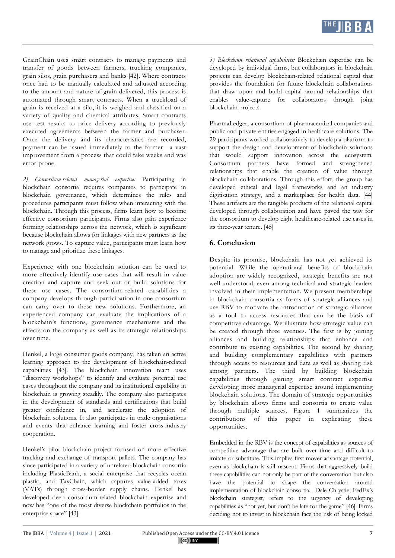GrainChain uses smart contracts to manage payments and transfer of goods between farmers, trucking companies, grain silos, grain purchasers and banks [42]. Where contracts once had to be manually calculated and adjusted according to the amount and nature of grain delivered, this process is automated through smart contracts. When a truckload of grain is received at a silo, it is weighed and classified on a variety of quality and chemical attributes. Smart contracts use test results to price delivery according to previously executed agreements between the farmer and purchaser. Once the delivery and its characteristics are recorded, payment can be issued immediately to the farmer—a vast improvement from a process that could take weeks and was error-prone.

*2) Consortium-related managerial expertise:* Participating in blockchain consortia requires companies to participate in blockchain governance, which determines the rules and procedures participants must follow when interacting with the blockchain. Through this process, firms learn how to become effective consortium participants. Firms also gain experience forming relationships across the network, which is significant because blockchain allows for linkages with new partners as the network grows. To capture value, participants must learn how to manage and prioritize these linkages.

Experience with one blockchain solution can be used to more effectively identify use cases that will result in value creation and capture and seek out or build solutions for these use cases. The consortium-related capabilities a company develops through participation in one consortium can carry over to these new solutions. Furthermore, an experienced company can evaluate the implications of a blockchain's functions, governance mechanisms and the effects on the company as well as its strategic relationships over time.

Henkel, a large consumer goods company, has taken an active learning approach to the development of blockchain-related capabilities [43]. The blockchain innovation team uses "discovery workshops" to identify and evaluate potential use cases throughout the company and its institutional capability in blockchain is growing steadily. The company also participates in the development of standards and certifications that build greater confidence in, and accelerate the adoption of blockchain solutions. It also participates in trade organisations and events that enhance learning and foster cross-industry cooperation.

Henkel's pilot blockchain project focused on more effective tracking and exchange of transport pallets. The company has since participated in a variety of unrelated blockchain consortia including PlasticBank, a social enterprise that recycles ocean plastic, and TaxChain, which captures value-added taxes (VATs) through cross-border supply chains. Henkel has developed deep consortium-related blockchain expertise and now has "one of the most diverse blockchain portfolios in the enterprise space" [43].

*3) Blockchain relational capabilities:* Blockchain expertise can be developed by individual firms, but collaborators in blockchain projects can develop blockchain-related relational capital that provides the foundation for future blockchain collaborations that draw upon and build capital around relationships that enables value-capture for collaborators through joint blockchain projects.

PharmaLedger, a consortium of pharmaceutical companies and public and private entities engaged in healthcare solutions. The 29 participants worked collaboratively to develop a platform to support the design and development of blockchain solutions that would support innovation across the ecosystem. Consortium partners have formed and strengthened relationships that enable the creation of value through blockchain collaborations. Through this effort, the group has developed ethical and legal frameworks and an industry digitisation strategy, and a marketplace for health data. [44] These artifacts are the tangible products of the relational capital developed through collaboration and have paved the way for the consortium to develop eight healthcare-related use cases in its three-year tenure. [45]

## **6. Conclusion**

Despite its promise, blockchain has not yet achieved its potential. While the operational benefits of blockchain adoption are widely recognized, strategic benefits are not well understood, even among technical and strategic leaders involved in their implementation. We present memberships in blockchain consortia as forms of strategic alliances and use RBV to motivate the introduction of strategic alliances as a tool to access resources that can be the basis of competitive advantage. We illustrate how strategic value can be created through three avenues. The first is by joining alliances and building relationships that enhance and contribute to existing capabilities. The second by sharing and building complementary capabilities with partners through access to resources and data as well as sharing risk among partners. The third by building blockchain capabilities through gaining smart contract expertise developing more managerial expertise around implementing blockchain solutions. The domain of strategic opportunities by blockchain allows firms and consortia to create value through multiple sources. Figure 1 summarizes the contributions of this paper in explicating these opportunities.

Embedded in the RBV is the concept of capabilities as sources of competitive advantage that are built over time and difficult to imitate or substitute. This implies first-mover advantage potential, even as blockchain is still nascent. Firms that aggressively build these capabilities can not only be part of the conversation but also have the potential to shape the conversation around implementation of blockchain consortia. Dale Chrystie, FedEx's blockchain strategist, refers to the urgency of developing capabilities as "not yet, but don't be late for the game" [46]. Firms deciding not to invest in blockchain face the risk of being locked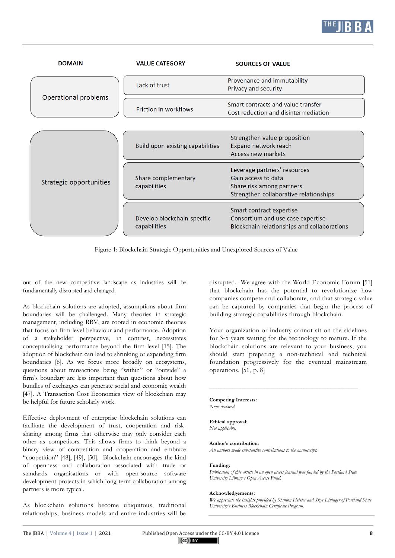

| <b>DOMAIN</b>           | <b>VALUE CATEGORY</b>                       | <b>SOURCES OF VALUE</b>                                                                                                    |
|-------------------------|---------------------------------------------|----------------------------------------------------------------------------------------------------------------------------|
|                         | Lack of trust                               | Provenance and immutability<br>Privacy and security                                                                        |
| Operational problems    | Friction in workflows                       | Smart contracts and value transfer<br>Cost reduction and disintermediation                                                 |
|                         | Build upon existing capabilities            | Strengthen value proposition<br>Expand network reach<br>Access new markets                                                 |
| Strategic opportunities | Share complementary<br>capabilities         | Leverage partners' resources<br>Gain access to data<br>Share risk among partners<br>Strengthen collaborative relationships |
|                         | Develop blockchain-specific<br>capabilities | Smart contract expertise<br>Consortium and use case expertise<br>Blockchain relationships and collaborations               |

Figure 1: Blockchain Strategic Opportunities and Unexplored Sources of Value

out of the new competitive landscape as industries will be fundamentally disrupted and changed.

As blockchain solutions are adopted, assumptions about firm boundaries will be challenged. Many theories in strategic management, including RBV, are rooted in economic theories that focus on firm-level behaviour and performance. Adoption of a stakeholder perspective, in contrast, necessitates conceptualising performance beyond the firm level [15]. The adoption of blockchain can lead to shrinking or expanding firm boundaries [6]. As we focus more broadly on ecosystems, questions about transactions being "within" or "outside" a firm's boundary are less important than questions about how bundles of exchanges can generate social and economic wealth [47]. A Transaction Cost Economics view of blockchain may be helpful for future scholarly work.

Effective deployment of enterprise blockchain solutions can facilitate the development of trust, cooperation and risksharing among firms that otherwise may only consider each other as competitors. This allows firms to think beyond a binary view of competition and cooperation and embrace "coopetition" [48], [49], [50]. Blockchain encourages the kind of openness and collaboration associated with trade or standards organisations or with open-source software development projects in which long-term collaboration among partners is more typical.

As blockchain solutions become ubiquitous, traditional relationships, business models and entire industries will be

disrupted. We agree with the World Economic Forum [51] that blockchain has the potential to revolutionize how companies compete and collaborate, and that strategic value can be captured by companies that begin the process of building strategic capabilities through blockchain.

Your organization or industry cannot sit on the sidelines for 3-5 years waiting for the technology to mature. If the blockchain solutions are relevant to your business, you should start preparing a non-technical and technical foundation progressively for the eventual mainstream operations. [51, p. 8]

**\_\_\_\_\_\_\_\_\_\_\_\_\_\_\_\_\_\_\_\_\_\_\_\_\_\_\_\_\_\_\_\_\_\_\_\_\_\_\_\_\_\_\_\_\_\_\_\_\_\_\_\_\_\_\_\_**

**Competing Interests:** *None declared.*

**Ethical approval:** *Not applicable.*

#### **Author's contribution:**

*All authors made substantive contributions to the manuscript.*

#### **Funding:**

*Publication of this article in an open access journal was funded by the Portland State University Library's Open Access Fund.*

#### **Acknowledgements:**

*We appreciate the insights provided by Stanton Heister and Skye Lininger of Portland State University's Business Blockchain Certificate Program.*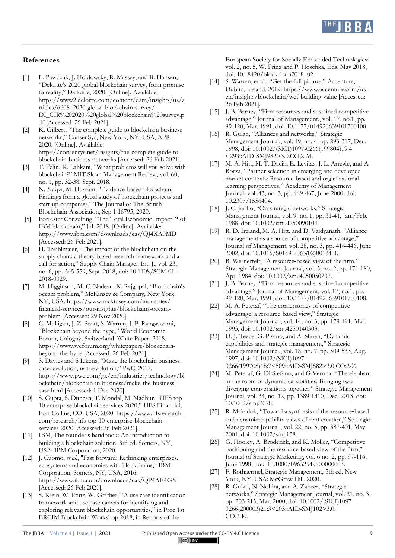

### **References**

- [1] L. Pawczuk, J. Holdowsky, R. Massey, and B. Hansen, "Deloitte's 2020 global blockchain survey, from promise to reality," Delloitte, 2020. [Online]. Available: https://www2.deloitte.com/content/dam/insights/us/a rticles/6608\_2020-global-blockchain-survey/ DI\_CIR%202020%20global%20blockchain%20survey.p df [Accessed: 26 Feb 2021].
- [2] K. Gilbert, "The complete guide to blockchain business networks," ConsenSys, New York, NY, USA, APR. 2020. [Online]. Available: https://consensys.net/insights/the-complete-guide-toblockchain-business-networks [Accessed: 26 Feb 2021].
- [3] T. Felin, K. Lahkani, "What problems will you solve with blockchain?" MIT Sloan Management Review, vol. 60, no. 1, pp. 32-38, Sept. 2018.
- [4] N. Naqvi, M. Hussain, "Evidence-based blockchain: Findings from a global study of blockchain projects and start-up companies," The Journal of The British Blockchain Association, Sep 1:16795, 2020.
- [5] Forrester Consulting, "The Total Economic Impact™ of IBM blockchain," Jul. 2018. [Online]. Available: https://www.ibm.com/downloads/cas/QJ4XA0MD [Accessed: 26 Feb 2021].
- [6] H. Treiblmaier, "The impact of the blockchain on the supply chain: a theory-based research framework and a call for action," Supply Chain Manage.: Int. J., vol. 23, no. 6, pp. 545-559, Sept. 2018, doi: 10.1108/SCM-01- 2018-0029.
- [7] M. Higginson, M. C. Nadeau, K. Rajgopal, "Blockchain's occam problem," McKinsey & Company, New York, NY, USA. https://www.mckinsey.com/industries/ financial-services/our-insights/blockchains-occamproblem [Accessed: 29 Nov 2020].
- [8] C. Mulligan, J. Z. Scott, S. Warren, J. P. Rangaswami, "Blockchain beyond the hype," World Economic Forum, Cologny, Switzerland, White Paper, 2018. https://www.weforum.org/whitepapers/blockchainbeyond-the-hype [Accessed: 26 Feb 2021].
- [9] S. Davies and S Likens, "Make the blockchain business case: evolution, not revolution," PwC, 2017. https://www.pwc.com/gx/en/industries/technology/bl ockchain/blockchain-in-business/make-the-businesscase.html [Accessed: 1 Dec 2020].
- [10] S. Gupta, S. Duncan, T. Mondal, M. Madhur, "HFS top 10 enterprise blockchain services 2020," HFS Financial, Fort Collins, CO, USA, 2020. https://www.hfsresearch. com/research/hfs-top-10-enterprise-blockchainservices-2020 [Accessed: 26 Feb 2021].
- [11] IBM, The founder's handbook: An introduction to building a blockchain solution, 3rd ed. Somers, NY, USA: IBM Corporation, 2020.
- [12] J. Cuomo, *et al.*, "Fast forward: Rethinking enterprises, ecosystems and economies with blockchains," IBM Corporation, Somers, NY, USA, 2016. https://www.ibm.com/downloads/cas/QP4AE4GN [Accessed: 26 Feb 2021].
- [13] S. Klein, W. Prinz, W. Gräther, "A use case identification framework and use case canvas for identifying and exploring relevant blockchain opportunities," in Proc.1st ERCIM Blockchain Workshop 2018, in Reports of the

European Society for Socially Embedded Technologies: vol. 2, no. 5, W. Prinz and P. Hoschka, Eds. May 2018, doi: 10.18420/blockchain2018\_02.

- [14] S. Warren, et al., "Get the full picture," Accenture, Dublin, Ireland, 2019. https://www.accenture.com/usen/insights/blockchain/wef-building-value [Accessed: 26 Feb 2021].
- [15] J. B. Barney, "Firm resources and sustained competitive advantage," Journal of Management*.*, vol. 17, no.1, pp. 99-120, Mar. 1991, doi: 10.1177/014920639101700108.
- [16] R. Gulati, "Alliances and networks," Strategic Management Journal*.*, vol. 19, no. 4, pp. 293-317, Dec. 1998, doi: 10.1002/(SICI)1097-0266(199804)19:4 <293::AID-SMJ982>3.0.CO;2-M.
- [17] M. A. Hitt, M. T. Dacin, E. Levitas, J. L. Arregle, and A. Borza, "Partner selection in emerging and developed market contexts: Resource-based and organizational learning perspectives," Academy of Management Journal, vol. 43, no. 3, pp. 449-467, June 2000, doi: 10.2307/1556404.
- [18] J. C. Jarillo, "On strategic networks," Strategic Management Journal, vol. 9, no. 1, pp. 31-41, Jan./Feb. 1988, doi: 10.1002/smj.4250090104.
- [19] R. D. Ireland, M. A. Hitt, and D. Vaidyanath, "Alliance management as a source of competitive advantage," Journal of Management, vol. 28, no. 3, pp. 416-446, June 2002, doi: 10.1016/S0149-2063(02)00134-4.
- [20] B. Wernerfelt, "A resource-based view of the firm," Strategic Management Journal, vol. 5, no. 2, pp. 171-180, Apr. 1984, doi: 10.1002/smj.4250050207.
- [21] J. B. Barney, "Firm resources and sustained competitive advantage," Journal of Management, vol. 17, no.1, pp. 99-120, Mar. 1991, doi: 10.1177/014920639101700108.
- [22] M. A. Peteraf, "The cornerstones of competitive advantage: a resource-based view," Strategic Management Journal , vol. 14, no. 3, pp. 179-191, Mar. 1993, doi: 10.1002/smj.4250140303.
- [23] D. J. Teece, G. Pisano, and A. Shuen, "Dynamic capabilities and strategic management," Strategic Management Journal*.*, vol. 18, no. 7, pp. 509-533, Aug. 1997, doi: 10.1002/(SICI)1097- 0266(199708)18:7<509::AID-SMJ882>3.0.CO;2-Z.
- [24] M. Peteraf, G. Di Stefano, and G Verona, "The elephant in the room of dynamic capabilities: Bringing two diverging conversations together," Strategic Management Journal, vol. 34, no. 12, pp. 1389-1410, Dec. 2013, doi: 10.1002/smj.2078.
- [25] R. Makadok, "Toward a synthesis of the resource-based and dynamic-capability views of rent creation," Strategic Management Journal , vol. 22, no. 5, pp. 387-401, May 2001, doi: 10.1002/smj.158.
- [26] G. Hooley, A. Broderick, and K. Möller, "Competitive positioning and the resource-based view of the firm," Journal of Strategic Marketing, vol. 6 no. 2, pp. 97-116, June 1998, doi: 10.1080/09652549800000003.
- [27] F. Rothaermel, Strategic Management, 5th ed. New York, NY, USA: McGraw Hill, 2020.
- [28] R. Gulati, N. Nohira, and A. Zaheer, "Strategic networks," Strategic Management Journal, vol. 21, no. 3, pp. 203-215, Mar. 2000, doi: 10.1002/(SICI)1097- 0266(200003)21:3<203::AID-SMJ102>3.0. CO;2-K.